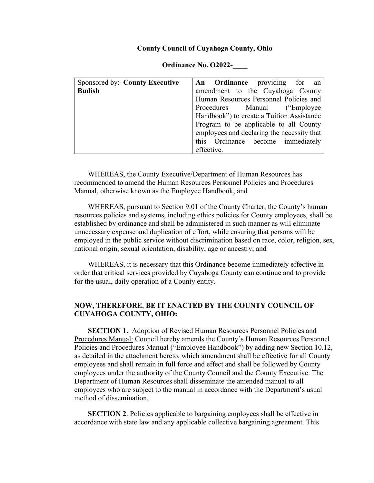#### **County Council of Cuyahoga County, Ohio**

| Sponsored by: County Executive | An Ordinance providing for an              |  |
|--------------------------------|--------------------------------------------|--|
| <b>Budish</b>                  | amendment to the Cuyahoga County           |  |
|                                | Human Resources Personnel Policies and     |  |
|                                | Procedures Manual ("Employee"              |  |
|                                | Handbook") to create a Tuition Assistance  |  |
|                                | Program to be applicable to all County     |  |
|                                | employees and declaring the necessity that |  |
|                                | this Ordinance become immediately          |  |
|                                | effective.                                 |  |

#### **Ordinance No. O2022-\_\_\_\_**

WHEREAS, the County Executive/Department of Human Resources has recommended to amend the Human Resources Personnel Policies and Procedures Manual, otherwise known as the Employee Handbook; and

WHEREAS, pursuant to Section 9.01 of the County Charter, the County's human resources policies and systems, including ethics policies for County employees, shall be established by ordinance and shall be administered in such manner as will eliminate unnecessary expense and duplication of effort, while ensuring that persons will be employed in the public service without discrimination based on race, color, religion, sex, national origin, sexual orientation, disability, age or ancestry; and

WHEREAS, it is necessary that this Ordinance become immediately effective in order that critical services provided by Cuyahoga County can continue and to provide for the usual, daily operation of a County entity.

## **NOW, THEREFORE**, **BE IT ENACTED BY THE COUNTY COUNCIL OF CUYAHOGA COUNTY, OHIO:**

**SECTION 1.** Adoption of Revised Human Resources Personnel Policies and Procedures Manual: Council hereby amends the County's Human Resources Personnel Policies and Procedures Manual ("Employee Handbook") by adding new Section 10.12, as detailed in the attachment hereto, which amendment shall be effective for all County employees and shall remain in full force and effect and shall be followed by County employees under the authority of the County Council and the County Executive. The Department of Human Resources shall disseminate the amended manual to all employees who are subject to the manual in accordance with the Department's usual method of dissemination.

**SECTION 2.** Policies applicable to bargaining employees shall be effective in accordance with state law and any applicable collective bargaining agreement. This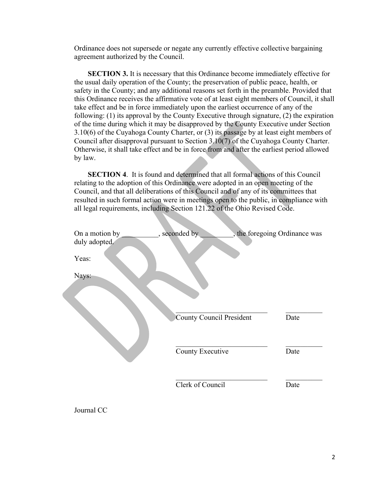Ordinance does not supersede or negate any currently effective collective bargaining agreement authorized by the Council.

**SECTION 3.** It is necessary that this Ordinance become immediately effective for the usual daily operation of the County; the preservation of public peace, health, or safety in the County; and any additional reasons set forth in the preamble. Provided that this Ordinance receives the affirmative vote of at least eight members of Council, it shall take effect and be in force immediately upon the earliest occurrence of any of the following: (1) its approval by the County Executive through signature, (2) the expiration of the time during which it may be disapproved by the County Executive under Section 3.10(6) of the Cuyahoga County Charter, or (3) its passage by at least eight members of Council after disapproval pursuant to Section 3.10(7) of the Cuyahoga County Charter. Otherwise, it shall take effect and be in force from and after the earliest period allowed by law.

**SECTION 4**. It is found and determined that all formal actions of this Council relating to the adoption of this Ordinance were adopted in an open meeting of the Council, and that all deliberations of this Council and of any of its committees that resulted in such formal action were in meetings open to the public, in compliance with all legal requirements, including Section 121.22 of the Ohio Revised Code.

| On a motion by<br>duly adopted. | , seconded by                   | , the foregoing Ordinance was |
|---------------------------------|---------------------------------|-------------------------------|
| Yeas:                           |                                 |                               |
| Nays:                           |                                 |                               |
|                                 | <b>County Council President</b> | Date                          |
|                                 | County Executive                | Date                          |
|                                 | Clerk of Council                | Date                          |

Journal CC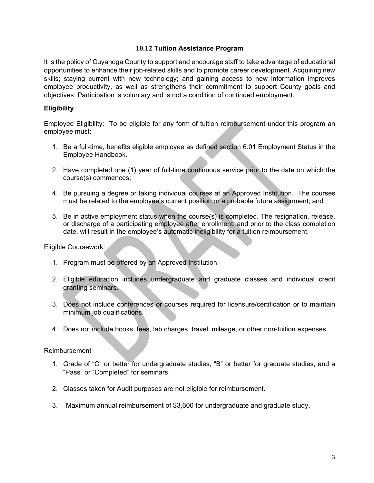## **10.12 Tuition Assistance Program**

It is the policy of Cuyahoga County to support and encourage staff to take advantage of educational opportunities to enhance their job-related skills and to promote career development. Acquiring new skills; staying current with new technology; and gaining access to new information improves employee productivity, as well as strengthens their commitment to support County goals and objectives. Participation is voluntary and is not a condition of continued employment.

## **Eligibility**

Employee Eligibility: To be eligible for any form of tuition reimbursement under this program an employee must:

- 1. Be a full-time, benefits eligible employee as defined section 6.01 Employment Status in the Employee Handbook.
- 2. Have completed one (1) year of full-time continuous service prior to the date on which the course(s) commences;
- 4. Be pursuing a degree or taking individual courses at an Approved Institution. The courses must be related to the employee's current position or a probable future assignment; and
- 5. Be in active employment status when the course(s) is completed. The resignation, release, or discharge of a participating employee after enrollment, and prior to the class completion date, will result in the employee's automatic ineligibility for a tuition reimbursement.

Eligible Coursework:

- 1. Program must be offered by an Approved Institution.
- 2. Eligible education includes undergraduate and graduate classes and individual credit granting seminars.
- 3. Does not include conferences or courses required for licensure/certification or to maintain minimum job qualifications.
- 4. Does not include books, fees, lab charges, travel, mileage, or other non-tuition expenses.

### Reimbursement

- 1. Grade of "C" or better for undergraduate studies, "B" or better for graduate studies, and a "Pass" or "Completed" for seminars.
- 2. Classes taken for Audit purposes are not eligible for reimbursement.
- 3. Maximum annual reimbursement of \$3,600 for undergraduate and graduate study.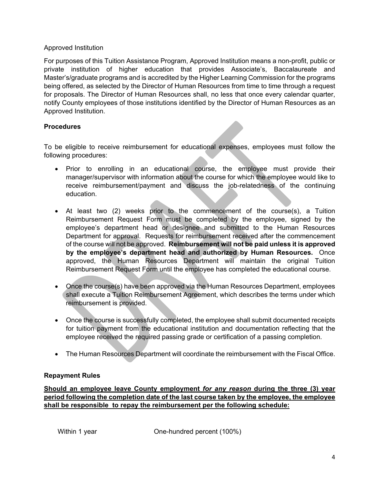## Approved Institution

For purposes of this Tuition Assistance Program, Approved Institution means a non-profit, public or private institution of higher education that provides Associate's, Baccalaureate and Master's/graduate programs and is accredited by the Higher Learning Commission for the programs being offered, as selected by the Director of Human Resources from time to time through a request for proposals. The Director of Human Resources shall, no less that once every calendar quarter, notify County employees of those institutions identified by the Director of Human Resources as an Approved Institution.

# **Procedures**

To be eligible to receive reimbursement for educational expenses, employees must follow the following procedures:

- Prior to enrolling in an educational course, the employee must provide their manager/supervisor with information about the course for which the employee would like to receive reimbursement/payment and discuss the job-relatedness of the continuing education.
- At least two (2) weeks prior to the commencement of the course(s), a Tuition Reimbursement Request Form must be completed by the employee, signed by the employee's department head or designee and submitted to the Human Resources Department for approval. Requests for reimbursement received after the commencement of the course will not be approved. **Reimbursement will not be paid unless it is approved by the employee's department head and authorized by Human Resources.** Once approved, the Human Resources Department will maintain the original Tuition Reimbursement Request Form until the employee has completed the educational course.
- Once the course(s) have been approved via the Human Resources Department, employees shall execute a Tuition Reimbursement Agreement, which describes the terms under which reimbursement is provided.
- Once the course is successfully completed, the employee shall submit documented receipts for tuition payment from the educational institution and documentation reflecting that the employee received the required passing grade or certification of a passing completion.
- The Human Resources Department will coordinate the reimbursement with the Fiscal Office.

# **Repayment Rules**

**Should an employee leave County employment** *for any reason* **during the three (3) year period following the completion date of the last course taken by the employee, the employee shall be responsible to repay the reimbursement per the following schedule:**

Within 1 year **One-hundred percent (100%)**